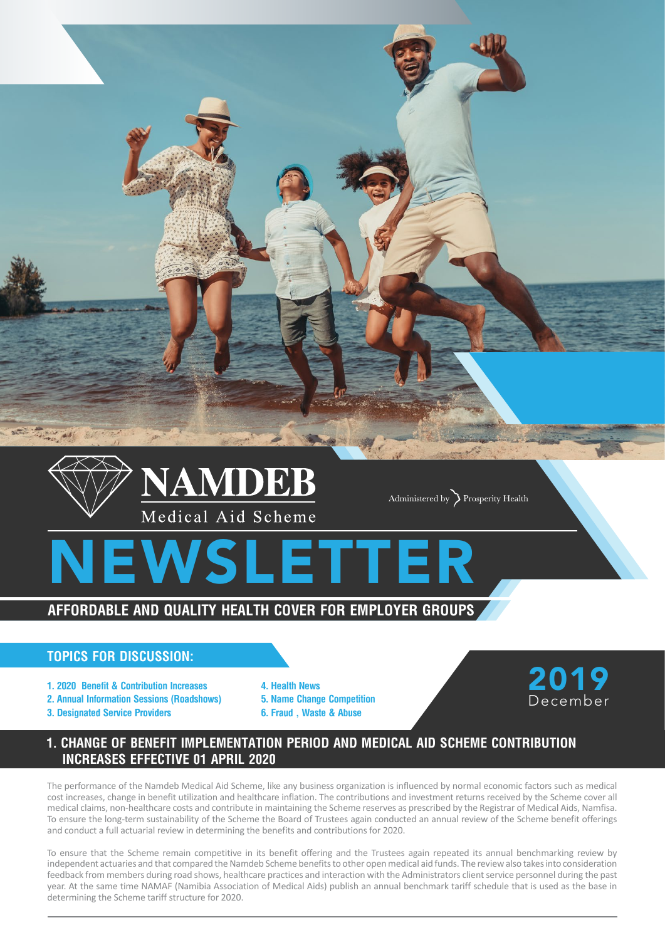

## **Topics for discussion:**

- **1. 2020 Benefit & Contribution Increases**
- **2. Annual Information Sessions (Roadshows)**
- **3. Designated Service Providers**
- **4. Health News 5. Name Change Competition 6. Fraud , Waste & Abuse**



# **1. CHANGE OF BENEFIT IMPLEMENTATION PERIOD AND MEDICAL AID SCHEME CONTRIBUTION INCREASES EFFECTIVE 01 APRIL 2020**

The performance of the Namdeb Medical Aid Scheme, like any business organization is influenced by normal economic factors such as medical cost increases, change in benefit utilization and healthcare inflation. The contributions and investment returns received by the Scheme cover all medical claims, non-healthcare costs and contribute in maintaining the Scheme reserves as prescribed by the Registrar of Medical Aids, Namfisa. To ensure the long-term sustainability of the Scheme the Board of Trustees again conducted an annual review of the Scheme benefit offerings and conduct a full actuarial review in determining the benefits and contributions for 2020.

To ensure that the Scheme remain competitive in its benefit offering and the Trustees again repeated its annual benchmarking review by independent actuaries and that compared the Namdeb Scheme benefits to other open medical aid funds. The review also takes into consideration feedback from members during road shows, healthcare practices and interaction with the Administrators client service personnel during the past year. At the same time NAMAF (Namibia Association of Medical Aids) publish an annual benchmark tariff schedule that is used as the base in determining the Scheme tariff structure for 2020.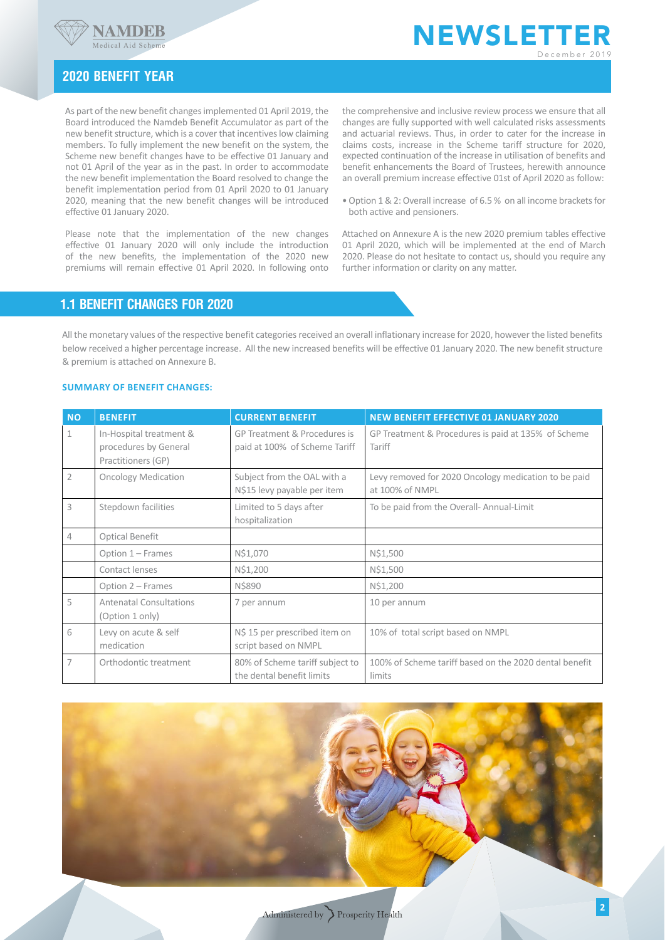



## **2020 Benefit year**

As part of the new benefit changes implemented 01 April 2019, the Board introduced the Namdeb Benefit Accumulator as part of the new benefit structure, which is a cover that incentives low claiming members. To fully implement the new benefit on the system, the Scheme new benefit changes have to be effective 01 January and not 01 April of the year as in the past. In order to accommodate the new benefit implementation the Board resolved to change the benefit implementation period from 01 April 2020 to 01 January 2020, meaning that the new benefit changes will be introduced effective 01 January 2020.

Please note that the implementation of the new changes effective 01 January 2020 will only include the introduction of the new benefits, the implementation of the 2020 new premiums will remain effective 01 April 2020. In following onto

the comprehensive and inclusive review process we ensure that all changes are fully supported with well calculated risks assessments and actuarial reviews. Thus, in order to cater for the increase in claims costs, increase in the Scheme tariff structure for 2020, expected continuation of the increase in utilisation of benefits and benefit enhancements the Board of Trustees, herewith announce an overall premium increase effective 01st of April 2020 as follow:

• Option 1 & 2: Overall increase of 6.5 % on all income brackets for both active and pensioners.

Attached on Annexure A is the new 2020 premium tables effective 01 April 2020, which will be implemented at the end of March 2020. Please do not hesitate to contact us, should you require any further information or clarity on any matter.

## **1.1 Benefit Changes for 2020**

All the monetary values of the respective benefit categories received an overall inflationary increase for 2020, however the listed benefits below received a higher percentage increase. All the new increased benefits will be effective 01 January 2020. The new benefit structure & premium is attached on Annexure B.

## **Summary of benefit changes:**

| <b>NO</b>      | <b>BENEFIT</b>                                                         | <b>CURRENT BENEFIT</b>                                        | <b>NEW BENEFIT EFFECTIVE 01 JANUARY 2020</b>                            |
|----------------|------------------------------------------------------------------------|---------------------------------------------------------------|-------------------------------------------------------------------------|
| $\mathbf{1}$   | In-Hospital treatment &<br>procedures by General<br>Practitioners (GP) | GP Treatment & Procedures is<br>paid at 100% of Scheme Tariff | GP Treatment & Procedures is paid at 135% of Scheme<br>Tariff           |
| $\overline{2}$ | <b>Oncology Medication</b>                                             | Subject from the OAL with a<br>N\$15 levy payable per item    | Levy removed for 2020 Oncology medication to be paid<br>at 100% of NMPL |
| 3              | Stepdown facilities                                                    | Limited to 5 days after<br>hospitalization                    | To be paid from the Overall- Annual-Limit                               |
| 4              | Optical Benefit                                                        |                                                               |                                                                         |
|                | Option 1 - Frames                                                      | N\$1,070                                                      | N\$1,500                                                                |
|                | Contact lenses                                                         | N\$1,200                                                      | N\$1,500                                                                |
|                | Option 2 – Frames                                                      | N\$890                                                        | N\$1,200                                                                |
| 5              | <b>Antenatal Consultations</b><br>(Option 1 only)                      | 7 per annum                                                   | 10 per annum                                                            |
| 6              | Levy on acute & self<br>medication                                     | N\$ 15 per prescribed item on<br>script based on NMPL         | 10% of total script based on NMPL                                       |
| 7              | Orthodontic treatment                                                  | 80% of Scheme tariff subject to<br>the dental benefit limits  | 100% of Scheme tariff based on the 2020 dental benefit<br>limits        |

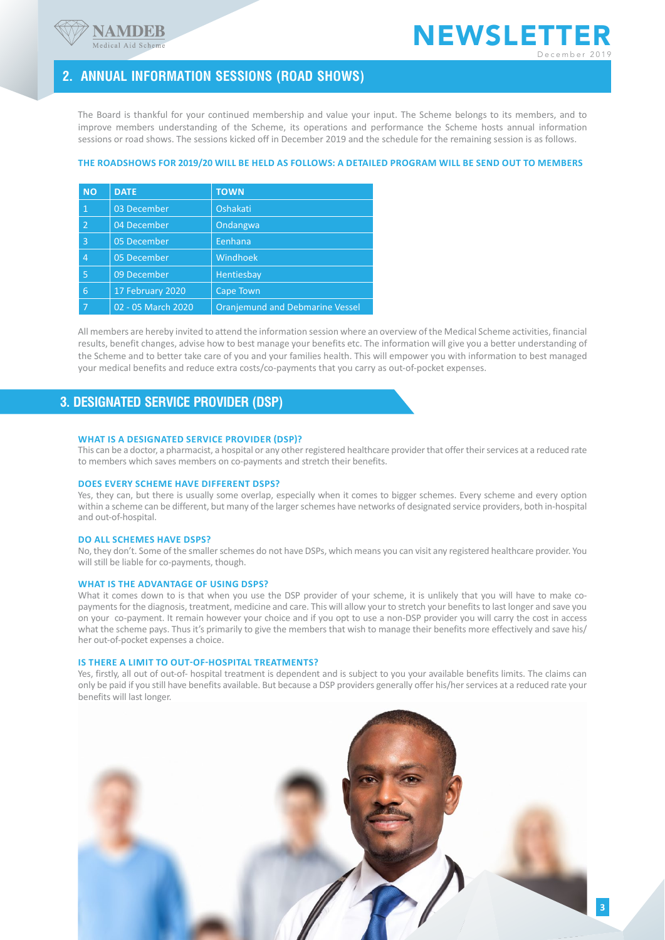



**3**

# **2. Annual information sessions (Road Shows)**

The Board is thankful for your continued membership and value your input. The Scheme belongs to its members, and to improve members understanding of the Scheme, its operations and performance the Scheme hosts annual information sessions or road shows. The sessions kicked off in December 2019 and the schedule for the remaining session is as follows.

### **The Roadshows for 2019/20 will be held as follows: A detailed program will be send out to members**

| <b>NO</b>      | <b>DATE</b>        | <b>TOWN</b>                            |
|----------------|--------------------|----------------------------------------|
| 1              | 03 December        | Oshakati                               |
| $\overline{2}$ | 04 December        | Ondangwa                               |
| 3              | 05 December        | Eenhana                                |
| 4              | 05 December        | Windhoek                               |
| 5              | 09 December        | Hentiesbay                             |
| 6              | 17 February 2020   | Cape Town                              |
|                | 02 - 05 March 2020 | <b>Oranjemund and Debmarine Vessel</b> |

All members are hereby invited to attend the information session where an overview of the Medical Scheme activities, financial results, benefit changes, advise how to best manage your benefits etc. The information will give you a better understanding of the Scheme and to better take care of you and your families health. This will empower you with information to best managed your medical benefits and reduce extra costs/co-payments that you carry as out-of-pocket expenses.

## **3. Designated Service Provider (DSP)**

### **What is a designated service provider (DSP)?**

This can be a doctor, a pharmacist, a hospital or any other registered healthcare provider that offer their services at a reduced rate to members which saves members on co-payments and stretch their benefits.

### **Does every scheme have different DSPs?**

Yes, they can, but there is usually some overlap, especially when it comes to bigger schemes. Every scheme and every option within a scheme can be different, but many of the larger schemes have networks of designated service providers, both in-hospital and out-of-hospital.

#### **Do all schemes have DSPs?**

No, they don't. Some of the smaller schemes do not have DSPs, which means you can visit any registered healthcare provider. You will still be liable for co-payments, though.

#### **What is the advantage of using DSPs?**

What it comes down to is that when you use the DSP provider of your scheme, it is unlikely that you will have to make copayments for the diagnosis, treatment, medicine and care. This will allow your to stretch your benefits to last longer and save you on your co-payment. It remain however your choice and if you opt to use a non-DSP provider you will carry the cost in access what the scheme pays. Thus it's primarily to give the members that wish to manage their benefits more effectively and save his/ her out-of-pocket expenses a choice.

#### **Is there a limit to out-of-hospital treatments?**

Yes, firstly, all out of out-of- hospital treatment is dependent and is subject to you your available benefits limits. The claims can only be paid if you still have benefits available. But because a DSP providers generally offer his/her services at a reduced rate your benefits will last longer.

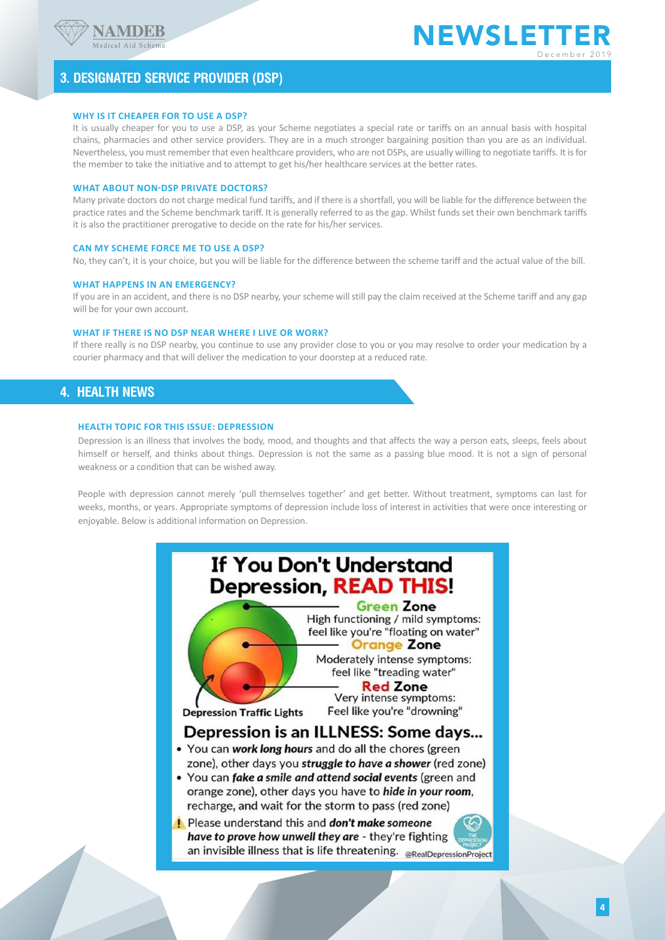

# **3. Designated Service Provider (DSP)**

### **Why is it cheaper for to use a DSP?**

It is usually cheaper for you to use a DSP, as your Scheme negotiates a special rate or tariffs on an annual basis with hospital chains, pharmacies and other service providers. They are in a much stronger bargaining position than you are as an individual. Nevertheless, you must remember that even healthcare providers, who are not DSPs, are usually willing to negotiate tariffs. It is for the member to take the initiative and to attempt to get his/her healthcare services at the better rates.

### **What about non-DSP private doctors?**

Many private doctors do not charge medical fund tariffs, and if there is a shortfall, you will be liable for the difference between the practice rates and the Scheme benchmark tariff. It is generally referred to as the gap. Whilst funds set their own benchmark tariffs it is also the practitioner prerogative to decide on the rate for his/her services.

### **Can my scheme force me to use a DSP?**

No, they can't, it is your choice, but you will be liable for the difference between the scheme tariff and the actual value of the bill.

#### **What happens in an emergency?**

If you are in an accident, and there is no DSP nearby, your scheme will still pay the claim received at the Scheme tariff and any gap will be for your own account.

### **What if there is no DSP near where I live or work?**

If there really is no DSP nearby, you continue to use any provider close to you or you may resolve to order your medication by a courier pharmacy and that will deliver the medication to your doorstep at a reduced rate.

## **4. Health News**

#### **Health Topic for this issue: Depression**

Depression is an illness that involves the body, mood, and thoughts and that affects the way a person eats, sleeps, feels about himself or herself, and thinks about things. Depression is not the same as a passing blue mood. It is not a sign of personal weakness or a condition that can be wished away.

People with depression cannot merely 'pull themselves together' and get better. Without treatment, symptoms can last for weeks, months, or years. Appropriate symptoms of depression include loss of interest in activities that were once interesting or enjoyable. Below is additional information on Depression.